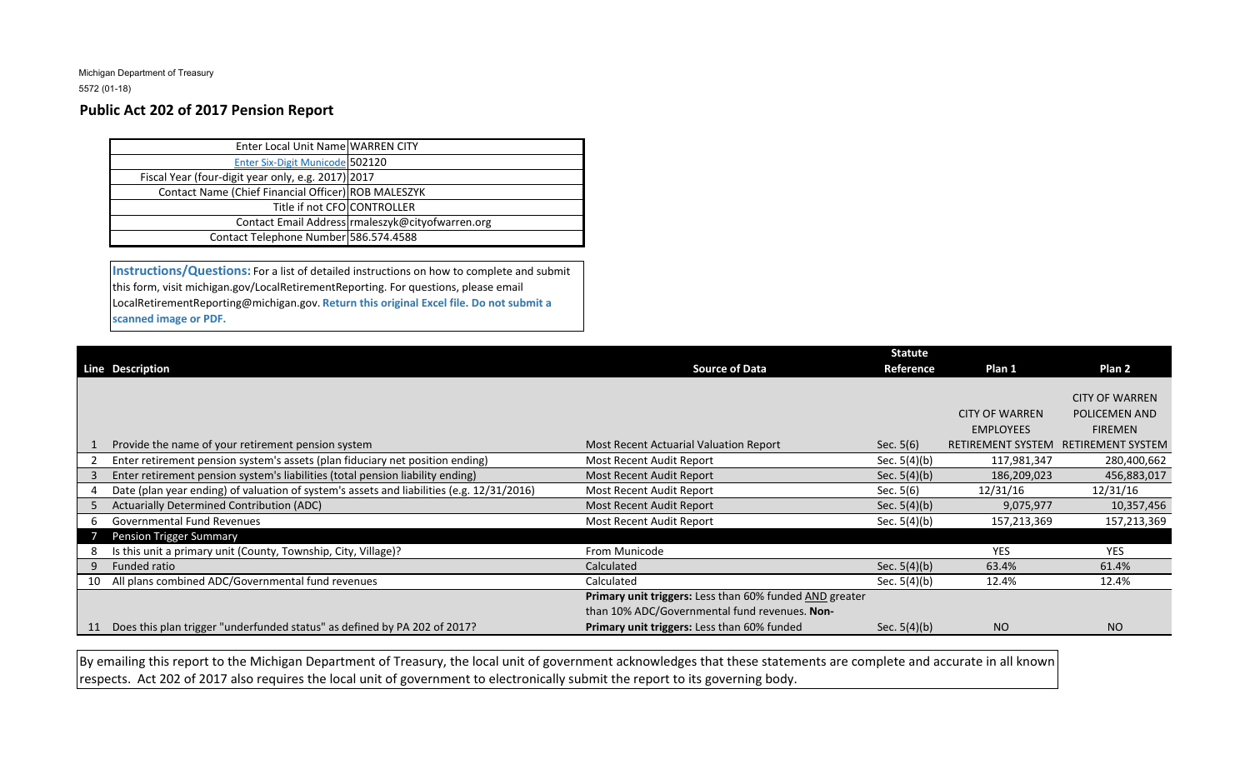Michigan Department of Treasury

5572 (01-18)

## **Public Act 202 of 2017 Pension Report**

| Enter Local Unit Name WARREN CITY                   |                                                  |
|-----------------------------------------------------|--------------------------------------------------|
| <b>Enter Six-Digit Municode 502120</b>              |                                                  |
| Fiscal Year (four-digit year only, e.g. 2017) 2017  |                                                  |
| Contact Name (Chief Financial Officer) ROB MALESZYK |                                                  |
| Title if not CFO CONTROLLER                         |                                                  |
|                                                     | Contact Email Address rmaleszyk@cityofwarren.org |
| Contact Telephone Number 586.574.4588               |                                                  |
|                                                     |                                                  |

**Instructions/Questions:** For a list of detailed instructions on how to complete and submit this form, visit michigan.gov/LocalRetirementReporting. For questions, please email LocalRetirementReporting@michigan.gov. **Return this original Excel file. Do not submit a scanned image or PDF.**

|    |                                                                                           |                                                         | <b>Statute</b> |                          |                          |
|----|-------------------------------------------------------------------------------------------|---------------------------------------------------------|----------------|--------------------------|--------------------------|
|    | Line Description                                                                          | <b>Source of Data</b>                                   | Reference      | Plan 1                   | Plan 2                   |
|    |                                                                                           |                                                         |                |                          |                          |
|    |                                                                                           |                                                         |                |                          | <b>CITY OF WARREN</b>    |
|    |                                                                                           |                                                         |                | <b>CITY OF WARREN</b>    | POLICEMEN AND            |
|    |                                                                                           |                                                         |                | <b>EMPLOYEES</b>         | <b>FIREMEN</b>           |
|    | Provide the name of your retirement pension system                                        | Most Recent Actuarial Valuation Report                  | Sec. $5(6)$    | <b>RETIREMENT SYSTEM</b> | <b>RETIREMENT SYSTEM</b> |
|    | Enter retirement pension system's assets (plan fiduciary net position ending)             | Most Recent Audit Report                                | Sec. 5(4)(b)   | 117,981,347              | 280,400,662              |
|    | Enter retirement pension system's liabilities (total pension liability ending)            | Most Recent Audit Report                                | Sec. $5(4)(b)$ | 186,209,023              | 456,883,017              |
|    | Date (plan year ending) of valuation of system's assets and liabilities (e.g. 12/31/2016) | Most Recent Audit Report                                | Sec. $5(6)$    | 12/31/16                 | 12/31/16                 |
|    | Actuarially Determined Contribution (ADC)                                                 | Most Recent Audit Report                                | Sec. $5(4)(b)$ | 9,075,977                | 10,357,456               |
| 6. | <b>Governmental Fund Revenues</b>                                                         | Most Recent Audit Report                                | Sec. $5(4)(b)$ | 157,213,369              | 157,213,369              |
|    | <b>Pension Trigger Summary</b>                                                            |                                                         |                |                          |                          |
|    | Is this unit a primary unit (County, Township, City, Village)?                            | From Municode                                           |                | <b>YES</b>               | <b>YES</b>               |
|    | Funded ratio                                                                              | Calculated                                              | Sec. $5(4)(b)$ | 63.4%                    | 61.4%                    |
|    | 10 All plans combined ADC/Governmental fund revenues                                      | Calculated                                              | Sec. $5(4)(b)$ | 12.4%                    | 12.4%                    |
|    |                                                                                           | Primary unit triggers: Less than 60% funded AND greater |                |                          |                          |
|    |                                                                                           | than 10% ADC/Governmental fund revenues. Non-           |                |                          |                          |
|    | Does this plan trigger "underfunded status" as defined by PA 202 of 2017?                 | Primary unit triggers: Less than 60% funded             | Sec. $5(4)(b)$ | <b>NO</b>                | NO.                      |

By emailing this report to the Michigan Department of Treasury, the local unit of government acknowledges that these statements are complete and accurate in all known respects. Act 202 of 2017 also requires the local unit of government to electronically submit the report to its governing body.